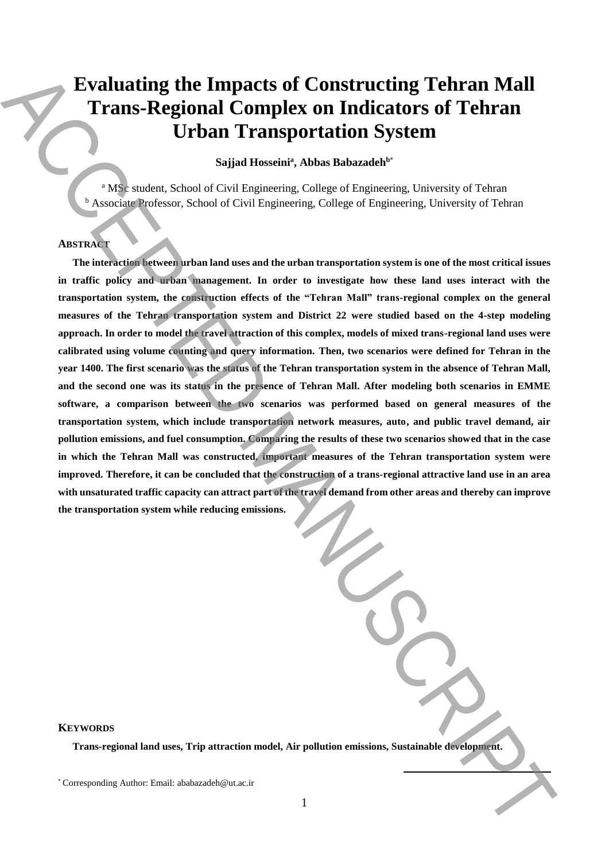# **Evaluating the Impacts of Constructing Tehran Mall Trans-Regional Complex on Indicators of Tehran Urban Transportation System**

**Sajjad Hosseini<sup>a</sup> , Abbas Babazadeh<sup>b</sup>**\*

<sup>a</sup> MSc student, School of Civil Engineering, College of Engineering, University of Tehran <sup>b</sup> Associate Professor, School of Civil Engineering, College of Engineering, University of Tehran

# **ABSTRACT**

**The interaction between urban land uses and the urban transportation system is one of the most critical issues in traffic policy and urban management. In order to investigate how these land uses interact with the transportation system, the construction effects of the "Tehran Mall" trans-regional complex on the general measures of the Tehran transportation system and District 22 were studied based on the 4-step modeling approach. In order to model the travel attraction of this complex, models of mixed trans-regional land uses were calibrated using volume counting and query information. Then, two scenarios were defined for Tehran in the year 1400. The first scenario was the status of the Tehran transportation system in the absence of Tehran Mall, and the second one was its status in the presence of Tehran Mall. After modeling both scenarios in EMME software, a comparison between the two scenarios was performed based on general measures of the transportation system, which include transportation network measures, auto, and public travel demand, air pollution emissions, and fuel consumption. Comparing the results of these two scenarios showed that in the case in which the Tehran Mall was constructed, important measures of the Tehran transportation system were improved. Therefore, it can be concluded that the construction of a trans-regional attractive land use in an area with unsaturated traffic capacity can attract part of the travel demand from other areas and thereby can improve the transportation system while reducing emissions.** Evaluating the Impacts of Constructing Tehran Mall<br>
Trans-Regional Complex on Indicators of Tehran<br>
Urban Transportation System<br>
Solid Research, Abbe Rebarated<sup>or</sup><br>
Solid Research, Abbe Rebaratedor<br>
Associates and Constru

# **KEYWORDS**

**Trans-regional land uses, Trip attraction model, Air pollution emissions, Sustainable development.**

**.**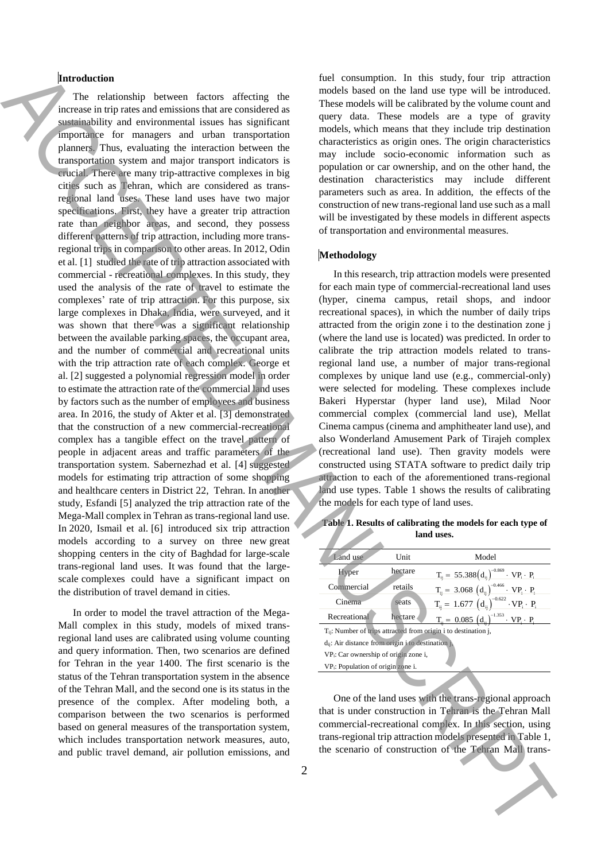# **Introduction**

The relationship between factors affecting the increase in trip rates and emissions that are considered as sustainability and environmental issues has significant importance for managers and urban transportation planners. Thus, evaluating the interaction between the transportation system and major transport indicators is crucial. There are many trip-attractive complexes in big cities such as Tehran, which are considered as transregional land uses. These land uses have two major specifications. First, they have a greater trip attraction rate than neighbor areas, and second, they possess different patterns of trip attraction, including more transregional trips in comparison to other areas. In 2012, Odin et al. [1] studied the rate of trip attraction associated with commercial - recreational complexes. In this study, they used the analysis of the rate of travel to estimate the complexes' rate of trip attraction. For this purpose, six large complexes in Dhaka, India, were surveyed, and it was shown that there was a significant relationship between the available parking spaces, the occupant area, and the number of commercial and recreational units with the trip attraction rate of each complex. George et al. [2] suggested a polynomial regression model in order to estimate the attraction rate of the commercial land uses by factors such as the number of employees and business area. In 2016, the study of Akter et al. [3] demonstrated that the construction of a new commercial-recreational complex has a tangible effect on the travel pattern of people in adjacent areas and traffic parameters of the transportation system. Sabernezhad et al. [4] suggested models for estimating trip attraction of some shopping and healthcare centers in District 22, Tehran. In another study, Esfandi [5] analyzed the trip attraction rate of the Mega-Mall complex in Tehran as trans-regional land use. In 2020, Ismail et al. [6] introduced six trip attraction models according to a survey on three new great shopping centers in the city of Baghdad for large-scale trans-regional land uses. It was found that the largescale complexes could have a significant impact on the distribution of travel demand in cities. Moreover, the main state control and the interaction of the interaction of the main state is the main state of the main state is the main state of the main state of the main state of the main state of the main state of th

In order to model the travel attraction of the Mega-Mall complex in this study, models of mixed transregional land uses are calibrated using volume counting and query information. Then, two scenarios are defined for Tehran in the year 1400. The first scenario is the status of the Tehran transportation system in the absence of the Tehran Mall, and the second one is its status in the presence of the complex. After modeling both, a comparison between the two scenarios is performed based on general measures of the transportation system, which includes transportation network measures, auto, and public travel demand, air pollution emissions, and

fuel consumption. In this study, four trip attraction models based on the land use type will be introduced. These models will be calibrated by the volume count and query data. These models are a type of gravity models, which means that they include trip destination characteristics as origin ones. The origin characteristics may include socio-economic information such as population or car ownership, and on the other hand, the destination characteristics may include different parameters such as area. In addition, the effects of the construction of new trans-regional land use such as a mall will be investigated by these models in different aspects of transportation and environmental measures.

## **Methodology**

In this research, trip attraction models were presented for each main type of commercial-recreational land uses (hyper, cinema campus, retail shops, and indoor recreational spaces), in which the number of daily trips attracted from the origin zone i to the destination zone j (where the land use is located) was predicted. In order to calibrate the trip attraction models related to transregional land use, a number of major trans-regional complexes by unique land use (e.g., commercial-only) were selected for modeling. These complexes include Bakeri Hyperstar (hyper land use), Milad Noor commercial complex (commercial land use), Mellat Cinema campus (cinema and amphitheater land use), and also Wonderland Amusement Park of Tirajeh complex (recreational land use). Then gravity models were constructed using STATA software to predict daily trip attraction to each of the aforementioned trans-regional land use types. Table 1 shows the results of calibrating the models for each type of land uses.

**Table 1. Results of calibrating the models for each type of land uses.**

| Land use                                                | Unit    | Model                                                                       |
|---------------------------------------------------------|---------|-----------------------------------------------------------------------------|
| Hyper                                                   | hectare | $T_{ii} = 55.388(d_{ii})^{-0.869} \cdot VP_i \cdot P_i$                     |
| Commercial                                              | retails | $T_{ii} = 3.068 (d_{ii})^{-0.466} \cdot VP_i \cdot P_i$                     |
| Cinema                                                  | seats   | $T_{ii} = 1.677 (d_{ii})^{-0.622} \cdot VP_i \cdot P_i$                     |
| Recreational                                            | hectare | $T_{ii} = 0.085 (d_{ii})^{-1.353} \cdot VP_i \cdot P_i$                     |
|                                                         |         | T <sub>ii</sub> : Number of trips attracted from origin i to destination j, |
| $d_{ii}$ : Air distance from origin i to destination j. |         |                                                                             |
| $VP_i$ : Car ownership of origin zone i,                |         |                                                                             |
| VP <sub>i</sub> : Population of origin zone i.          |         |                                                                             |
|                                                         |         |                                                                             |

One of the land uses with the trans-regional approach that is under construction in Tehran is the Tehran Mall commercial-recreational complex. In this section, using trans-regional trip attraction models presented in Table 1, the scenario of construction of the Tehran Mall trans-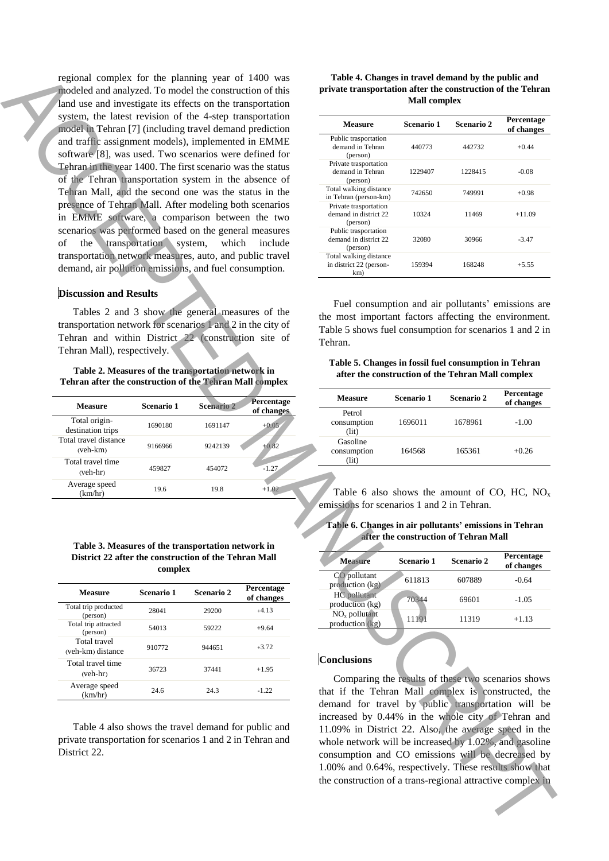regional complex for the planning year of 1400 was modeled and analyzed. To model the construction of this land use and investigate its effects on the transportation system, the latest revision of the 4-step transportation model in Tehran [7] (including travel demand prediction and traffic assignment models), implemented in EMME software [8], was used. Two scenarios were defined for Tehran in the year 1400. The first scenario was the status of the Tehran transportation system in the absence of Tehran Mall, and the second one was the status in the presence of Tehran Mall. After modeling both scenarios in EMME software, a comparison between the two scenarios was performed based on the general measures of the transportation system, which include transportation network measures, auto, and public travel demand, air pollution emissions, and fuel consumption. region (a spectral attractive complex in the spectral attractive complex in ACCEPTER (and the spectral attractive complex in ACCEPTER (a)  $\frac{1}{2}$  (a)  $\frac{1}{2}$  (a)  $\frac{1}{2}$  (a)  $\frac{1}{2}$  (a)  $\frac{1}{2}$  (a)  $\frac{1}{2}$  (a)

#### **Discussion and Results**

Tables 2 and 3 show the general measures of the transportation network for scenarios 1 and 2 in the city of Tehran and within District 22 (construction site of Tehran Mall), respectively.

#### **Table 2. Measures of the transportation network in Tehran after the construction of the Tehran Mall complex**

| <b>Measure</b>                     | Scenario 1 | <b>Scenario 2</b> | Percentage<br>of changes |  |
|------------------------------------|------------|-------------------|--------------------------|--|
| Total origin-<br>destination trips | 1690180    | 1691147           | $+0.05$                  |  |
| Total travel distance<br>(veh-km)  | 9166966    | 9242139           | $+0.82$                  |  |
| Total travel time<br>$(veh-hr)$    | 459827     | 454072            | $-1.27$                  |  |
| Average speed<br>(km/hr)           | 19.6       | 19.8              | $+1.02$                  |  |

#### **Table 3. Measures of the transportation network in District 22 after the construction of the Tehran Mall complex**

| Measure                           | Scenario 1 | Scenario 2 | Percentage<br>of changes |
|-----------------------------------|------------|------------|--------------------------|
| Total trip producted<br>(person)  | 28041      | 29200      | $+4.13$                  |
| Total trip attracted<br>(person)  | 54013      | 59222      | $+9.64$                  |
| Total travel<br>(veh-km) distance | 910772     | 944651     | $+3.72$                  |
| Total travel time<br>$(veh-hr)$   | 36723      | 37441      | $+1.95$                  |
| Average speed<br>(km/hr)          | 246        | 24.3       | $-122$                   |

Table 4 also shows the travel demand for public and private transportation for scenarios 1 and 2 in Tehran and District 22.

| Table 4. Changes in travel demand by the public and         |
|-------------------------------------------------------------|
| private transportation after the construction of the Tehran |
| <b>Mall complex</b>                                         |

| Measure                                                    | Scenario 1 | Scenario 2 | Percentage<br>of changes |
|------------------------------------------------------------|------------|------------|--------------------------|
| Public trasportation<br>demand in Tehran<br>(person)       | 440773     | 442732     | $+0.44$                  |
| Private trasportation<br>demand in Tehran<br>(person)      | 1229407    | 1228415    | $-0.08$                  |
| Total walking distance<br>in Tehran (person-km)            | 742650     | 749991     | $+0.98$                  |
| Private trasportation<br>demand in district 22<br>(person) | 10324      | 11469      | $+11.09$                 |
| Public trasportation<br>demand in district 22<br>(person)  | 32080      | 30966      | $-3.47$                  |
| Total walking distance<br>in district 22 (person-<br>km)   | 159394     | 168248     | $+5.55$                  |

Fuel consumption and air pollutants' emissions are the most important factors affecting the environment. Table 5 shows fuel consumption for scenarios 1 and 2 in Tehran.

## **Table 5. Changes in fossil fuel consumption in Tehran after the construction of the Tehran Mall complex**

| Measure                          | Scenario 1 | <b>Scenario 2</b> | Percentage<br>of changes |
|----------------------------------|------------|-------------------|--------------------------|
| Petrol<br>consumption<br>(iit)   | 1696011    | 1678961           | $-1.00$                  |
| Gasoline<br>consumption<br>(lit) | 164568     | 165361            | $+0.26$                  |

Table 6 also shows the amount of CO, HC,  $NO<sub>x</sub>$ emissions for scenarios 1 and 2 in Tehran.

#### **Table 6. Changes in air pollutants' emissions in Tehran after the construction of Tehran Mall**

| <b>Measure</b>                         | Scenario 1 | Scenario 2 | Percentage<br>of changes |
|----------------------------------------|------------|------------|--------------------------|
| CO pollutant<br>production (kg)        | 611813     | 607889     | $-0.64$                  |
| <b>HC</b> pollutant<br>production (kg) | 70344      | 69601      | $-1.05$                  |
| $NOx$ pollutant<br>production $(kg)$   | 11191      | 11319      | $+1.13$                  |

#### **Conclusions**

Comparing the results of these two scenarios shows that if the Tehran Mall complex is constructed, the demand for travel by public transportation will be increased by 0.44% in the whole city of Tehran and 11.09% in District 22. Also, the average speed in the whole network will be increased by 1.02%, and gasoline consumption and CO emissions will be decreased by 1.00% and 0.64%, respectively. These results show that